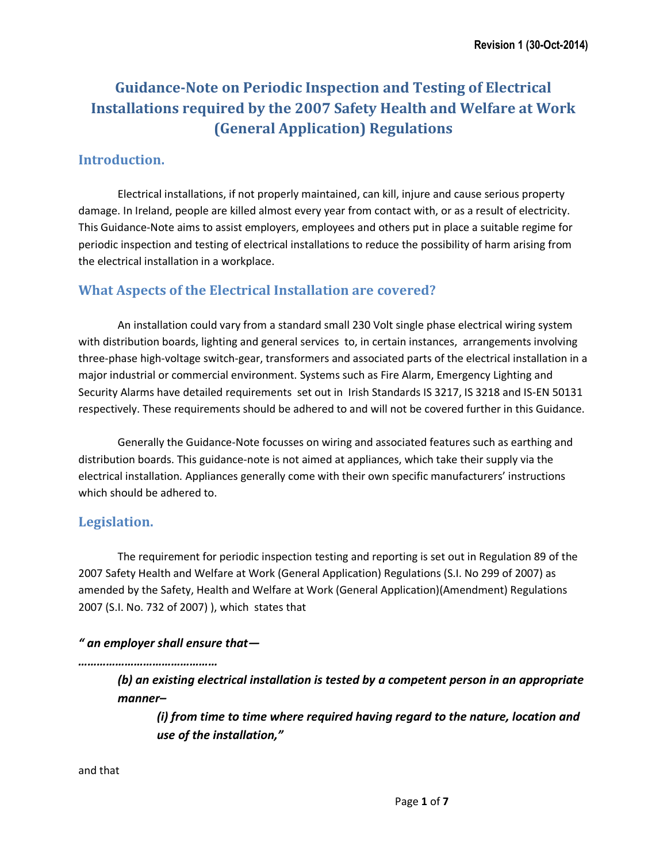# **Guidance-Note on Periodic Inspection and Testing of Electrical Installations required by the 2007 Safety Health and Welfare at Work (General Application) Regulations**

## **Introduction.**

Electrical installations, if not properly maintained, can kill, injure and cause serious property damage. In Ireland, people are killed almost every year from contact with, or as a result of electricity. This Guidance-Note aims to assist employers, employees and others put in place a suitable regime for periodic inspection and testing of electrical installations to reduce the possibility of harm arising from the electrical installation in a workplace.

## **What Aspects of the Electrical Installation are covered?**

An installation could vary from a standard small 230 Volt single phase electrical wiring system with distribution boards, lighting and general services to, in certain instances, arrangements involving three-phase high-voltage switch-gear, transformers and associated parts of the electrical installation in a major industrial or commercial environment. Systems such as Fire Alarm, Emergency Lighting and Security Alarms have detailed requirements set out in Irish Standards IS 3217, IS 3218 and IS-EN 50131 respectively. These requirements should be adhered to and will not be covered further in this Guidance.

Generally the Guidance-Note focusses on wiring and associated features such as earthing and distribution boards. This guidance-note is not aimed at appliances, which take their supply via the electrical installation. Appliances generally come with their own specific manufacturers' instructions which should be adhered to.

#### **Legislation.**

The requirement for periodic inspection testing and reporting is set out in Regulation 89 of the 2007 Safety Health and Welfare at Work (General Application) Regulations (S.I. No 299 of 2007) as amended by the Safety, Health and Welfare at Work (General Application)(Amendment) Regulations 2007 (S.I. No. 732 of 2007) ), which states that

#### *" an employer shall ensure that—*

*………………………………………*

*(b) an existing electrical installation is tested by a competent person in an appropriate manner–*

*(i) from time to time where required having regard to the nature, location and use of the installation,"* 

and that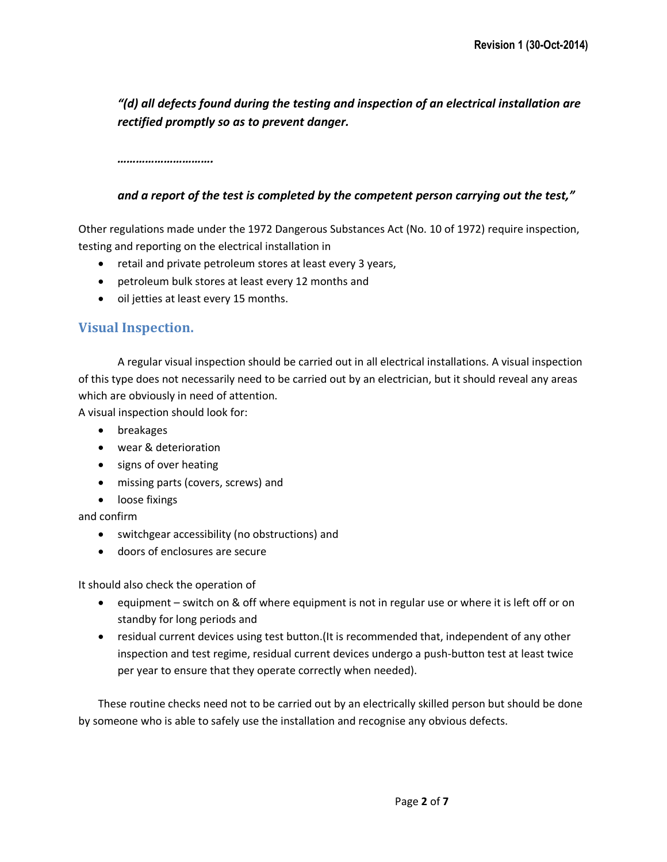*"(d) all defects found during the testing and inspection of an electrical installation are rectified promptly so as to prevent danger.*

*………………………….*

#### *and a report of the test is completed by the competent person carrying out the test,"*

Other regulations made under the 1972 Dangerous Substances Act (No. 10 of 1972) require inspection, testing and reporting on the electrical installation in

- retail and private petroleum stores at least every 3 years,
- petroleum bulk stores at least every 12 months and
- oil jetties at least every 15 months.

## **Visual Inspection.**

A regular visual inspection should be carried out in all electrical installations. A visual inspection of this type does not necessarily need to be carried out by an electrician, but it should reveal any areas which are obviously in need of attention.

A visual inspection should look for:

- breakages
- wear & deterioration
- signs of over heating
- missing parts (covers, screws) and
- **•** loose fixings

and confirm

- switchgear accessibility (no obstructions) and
- doors of enclosures are secure

It should also check the operation of

- equipment switch on & off where equipment is not in regular use or where it is left off or on standby for long periods and
- residual current devices using test button.(It is recommended that, independent of any other inspection and test regime, residual current devices undergo a push-button test at least twice per year to ensure that they operate correctly when needed).

These routine checks need not to be carried out by an electrically skilled person but should be done by someone who is able to safely use the installation and recognise any obvious defects.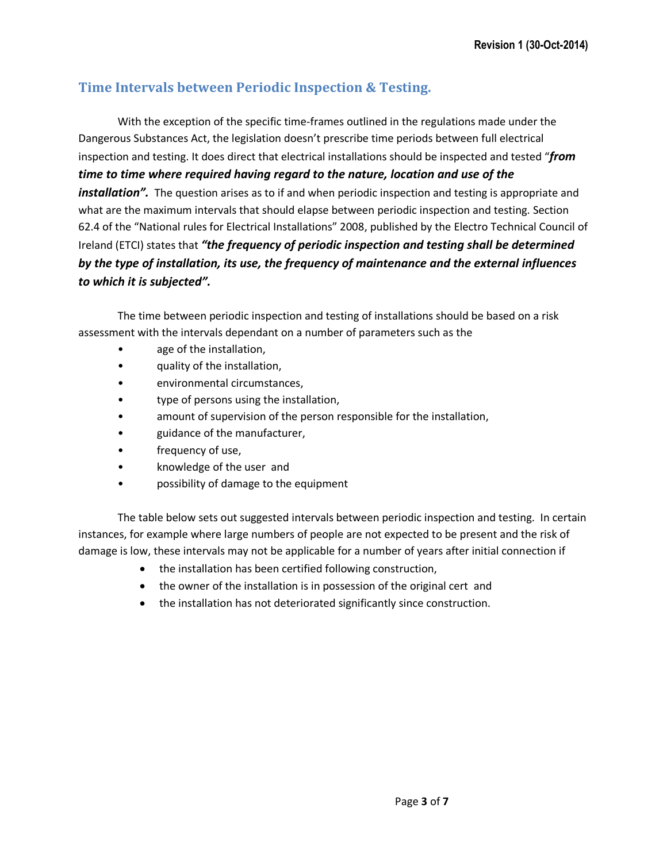# **Time Intervals between Periodic Inspection & Testing.**

With the exception of the specific time-frames outlined in the regulations made under the Dangerous Substances Act, the legislation doesn't prescribe time periods between full electrical inspection and testing. It does direct that electrical installations should be inspected and tested "*from time to time where required having regard to the nature, location and use of the installation".* The question arises as to if and when periodic inspection and testing is appropriate and what are the maximum intervals that should elapse between periodic inspection and testing. Section 62.4 of the "National rules for Electrical Installations" 2008, published by the Electro Technical Council of Ireland (ETCI) states that *"the frequency of periodic inspection and testing shall be determined by the type of installation, its use, the frequency of maintenance and the external influences to which it is subjected".* 

The time between periodic inspection and testing of installations should be based on a risk assessment with the intervals dependant on a number of parameters such as the

- age of the installation,
- quality of the installation,
- environmental circumstances,
- type of persons using the installation,
- amount of supervision of the person responsible for the installation,
- guidance of the manufacturer,
- frequency of use,
- knowledge of the user and
- possibility of damage to the equipment

The table below sets out suggested intervals between periodic inspection and testing. In certain instances, for example where large numbers of people are not expected to be present and the risk of damage is low, these intervals may not be applicable for a number of years after initial connection if

- the installation has been certified following construction,
- the owner of the installation is in possession of the original cert and
- the installation has not deteriorated significantly since construction.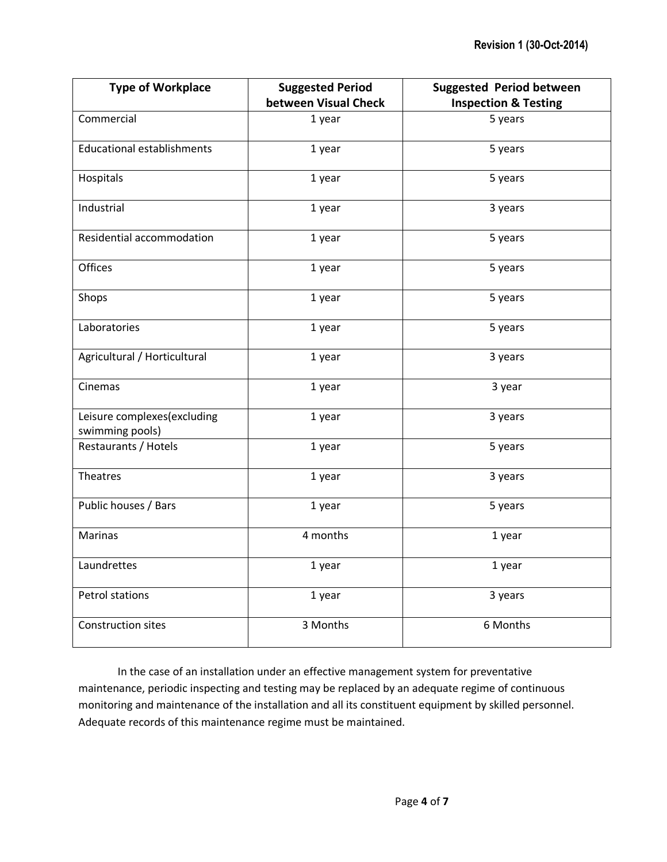| <b>Type of Workplace</b>                       | <b>Suggested Period</b> | <b>Suggested Period between</b> |
|------------------------------------------------|-------------------------|---------------------------------|
|                                                | between Visual Check    | <b>Inspection &amp; Testing</b> |
| Commercial                                     | 1 year                  | 5 years                         |
| <b>Educational establishments</b>              | 1 year                  | 5 years                         |
| Hospitals                                      | 1 year                  | 5 years                         |
| Industrial                                     | 1 year                  | 3 years                         |
| Residential accommodation                      | 1 year                  | 5 years                         |
| <b>Offices</b>                                 | 1 year                  | 5 years                         |
| Shops                                          | 1 year                  | 5 years                         |
| Laboratories                                   | 1 year                  | 5 years                         |
| Agricultural / Horticultural                   | 1 year                  | 3 years                         |
| Cinemas                                        | 1 year                  | 3 year                          |
| Leisure complexes(excluding<br>swimming pools) | 1 year                  | 3 years                         |
| Restaurants / Hotels                           | 1 year                  | 5 years                         |
| Theatres                                       | 1 year                  | 3 years                         |
| Public houses / Bars                           | 1 year                  | 5 years                         |
| Marinas                                        | 4 months                | 1 year                          |
| Laundrettes                                    | 1 year                  | 1 year                          |
| Petrol stations                                | 1 year                  | 3 years                         |
| Construction sites                             | 3 Months                | 6 Months                        |

In the case of an installation under an effective management system for preventative maintenance, periodic inspecting and testing may be replaced by an adequate regime of continuous monitoring and maintenance of the installation and all its constituent equipment by skilled personnel. Adequate records of this maintenance regime must be maintained.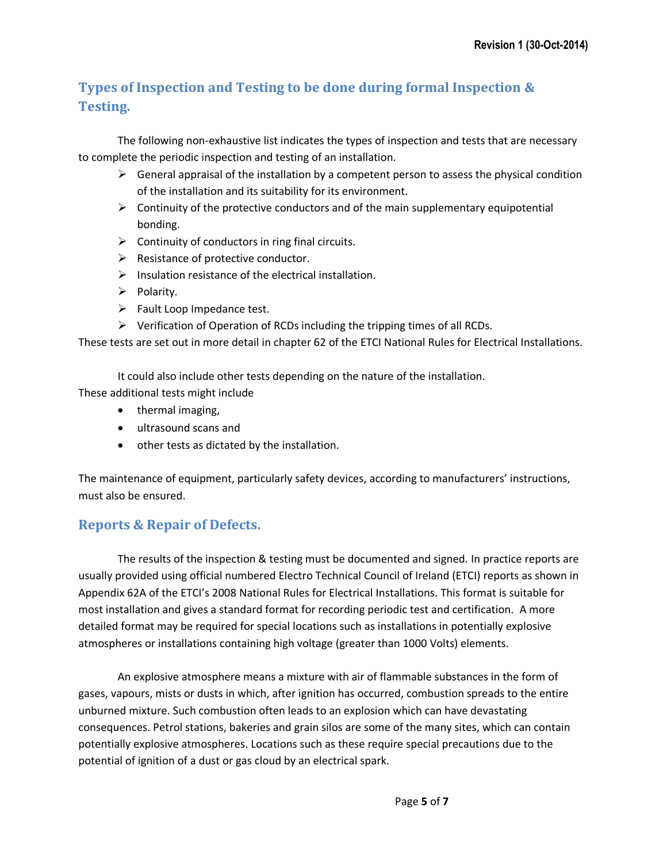# **Types of Inspection and Testing to be done during formal Inspection & Testing.**

The following non-exhaustive list indicates the types of inspection and tests that are necessary to complete the periodic inspection and testing of an installation.

- $\triangleright$  General appraisal of the installation by a competent person to assess the physical condition of the installation and its suitability for its environment.
- $\triangleright$  Continuity of the protective conductors and of the main supplementary equipotential bonding.
- $\triangleright$  Continuity of conductors in ring final circuits.
- $\triangleright$  Resistance of protective conductor.
- $\triangleright$  Insulation resistance of the electrical installation.
- $\triangleright$  Polarity.
- $\triangleright$  Fault Loop Impedance test.
- $\triangleright$  Verification of Operation of RCDs including the tripping times of all RCDs.

These tests are set out in more detail in chapter 62 of the ETCI National Rules for Electrical Installations.

It could also include other tests depending on the nature of the installation.

These additional tests might include

- thermal imaging,
- ultrasound scans and
- other tests as dictated by the installation.

The maintenance of equipment, particularly safety devices, according to manufacturers' instructions, must also be ensured.

# **Reports & Repair of Defects.**

The results of the inspection & testing must be documented and signed. In practice reports are usually provided using official numbered Electro Technical Council of Ireland (ETCI) reports as shown in Appendix 62A of the ETCI's 2008 National Rules for Electrical Installations. This format is suitable for most installation and gives a standard format for recording periodic test and certification. A more detailed format may be required for special locations such as installations in potentially explosive atmospheres or installations containing high voltage (greater than 1000 Volts) elements.

An explosive atmosphere means a mixture with air of flammable substances in the form of gases, vapours, mists or dusts in which, after ignition has occurred, combustion spreads to the entire unburned mixture. Such combustion often leads to an explosion which can have devastating consequences. Petrol stations, bakeries and grain silos are some of the many sites, which can contain potentially explosive atmospheres. Locations such as these require special precautions due to the potential of ignition of a dust or gas cloud by an electrical spark.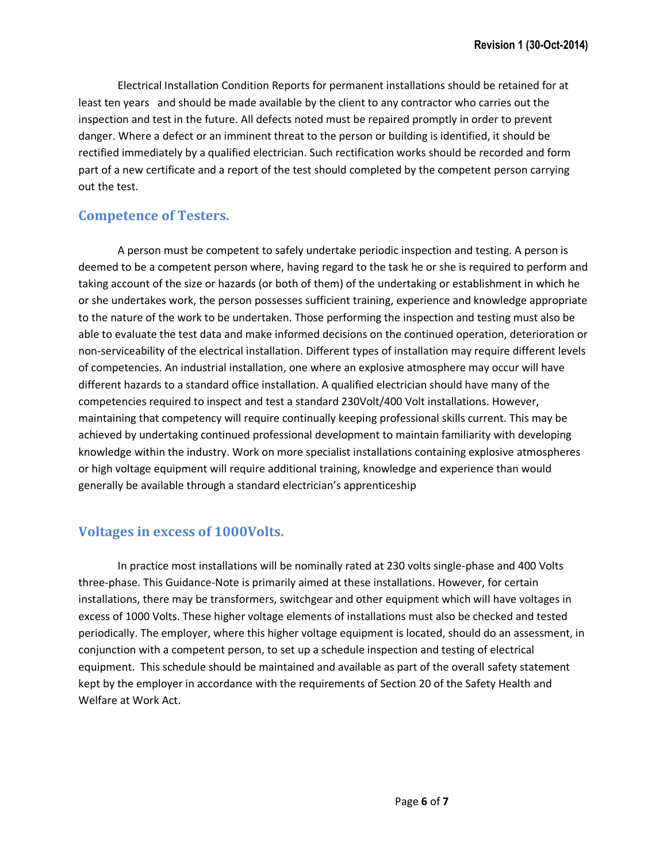Electrical Installation Condition Reports for permanent installations should be retained for at least ten years and should be made available by the client to any contractor who carries out the inspection and test in the future. All defects noted must be repaired promptly in order to prevent danger. Where a defect or an imminent threat to the person or building is identified, it should be rectified immediately by a qualified electrician. Such rectification works should be recorded and form part of a new certificate and a report of the test should completed by the competent person carrying out the test.

#### **Competence of Testers.**

A person must be competent to safely undertake periodic inspection and testing. A person is deemed to be a competent person where, having regard to the task he or she is required to perform and taking account of the size or hazards (or both of them) of the undertaking or establishment in which he or she undertakes work, the person possesses sufficient training, experience and knowledge appropriate to the nature of the work to be undertaken. Those performing the inspection and testing must also be able to evaluate the test data and make informed decisions on the continued operation, deterioration or non-serviceability of the electrical installation. Different types of installation may require different levels of competencies. An industrial installation, one where an explosive atmosphere may occur will have different hazards to a standard office installation. A qualified electrician should have many of the competencies required to inspect and test a standard 230Volt/400 Volt installations. However, maintaining that competency will require continually keeping professional skills current. This may be achieved by undertaking continued professional development to maintain familiarity with developing knowledge within the industry. Work on more specialist installations containing explosive atmospheres or high voltage equipment will require additional training, knowledge and experience than would generally be available through a standard electrician's apprenticeship

## **Voltages in excess of 1000Volts.**

In practice most installations will be nominally rated at 230 volts single-phase and 400 Volts three-phase. This Guidance-Note is primarily aimed at these installations. However, for certain installations, there may be transformers, switchgear and other equipment which will have voltages in excess of 1000 Volts. These higher voltage elements of installations must also be checked and tested periodically. The employer, where this higher voltage equipment is located, should do an assessment, in conjunction with a competent person, to set up a schedule inspection and testing of electrical equipment. This schedule should be maintained and available as part of the overall safety statement kept by the employer in accordance with the requirements of Section 20 of the Safety Health and Welfare at Work Act.